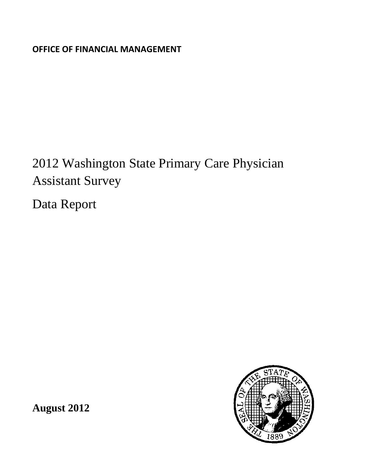**OFFICE OF FINANCIAL MANAGEMENT**

# 2012 Washington State Primary Care Physician Assistant Survey

Data Report



**August 2012**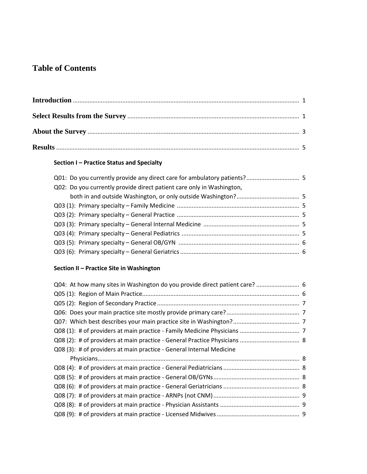# **Table of Contents**

# **Section I – Practice Status and Specialty**

| Q02: Do you currently provide direct patient care only in Washington, |  |
|-----------------------------------------------------------------------|--|
|                                                                       |  |
|                                                                       |  |
|                                                                       |  |
|                                                                       |  |
|                                                                       |  |
|                                                                       |  |
|                                                                       |  |

# **Section II – Practice Site in Washington**

| Q04: At how many sites in Washington do you provide direct patient care?  6 |  |
|-----------------------------------------------------------------------------|--|
|                                                                             |  |
|                                                                             |  |
|                                                                             |  |
|                                                                             |  |
|                                                                             |  |
|                                                                             |  |
| Q08 (3): # of providers at main practice - General Internal Medicine        |  |
|                                                                             |  |
|                                                                             |  |
|                                                                             |  |
|                                                                             |  |
|                                                                             |  |
|                                                                             |  |
|                                                                             |  |
|                                                                             |  |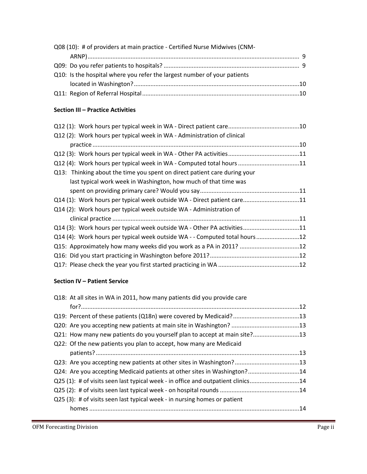| Q08 (10): # of providers at main practice - Certified Nurse Midwives (CNM- |  |
|----------------------------------------------------------------------------|--|
|                                                                            |  |
|                                                                            |  |
| Q10: Is the hospital where you refer the largest number of your patients   |  |
|                                                                            |  |
|                                                                            |  |

#### **Section III – Practice Activities**

| Q12 (2): Work hours per typical week in WA - Administration of clinical     |  |
|-----------------------------------------------------------------------------|--|
|                                                                             |  |
|                                                                             |  |
| Q12 (4): Work hours per typical week in WA - Computed total hours 11        |  |
| Q13: Thinking about the time you spent on direct patient care during your   |  |
| last typical work week in Washington, how much of that time was             |  |
|                                                                             |  |
| Q14 (1): Work hours per typical week outside WA - Direct patient care11     |  |
| Q14 (2): Work hours per typical week outside WA - Administration of         |  |
|                                                                             |  |
| Q14 (3): Work hours per typical week outside WA - Other PA activities11     |  |
| Q14 (4): Work hours per typical week outside WA - - Computed total hours 12 |  |
| Q15: Approximately how many weeks did you work as a PA in 2011? 12          |  |
|                                                                             |  |
|                                                                             |  |
|                                                                             |  |

## **Section IV – Patient Service**

| Q18: At all sites in WA in 2011, how many patients did you provide care          |  |
|----------------------------------------------------------------------------------|--|
|                                                                                  |  |
|                                                                                  |  |
|                                                                                  |  |
| Q21: How many new patients do you yourself plan to accept at main site?13        |  |
| Q22: Of the new patients you plan to accept, how many are Medicaid               |  |
|                                                                                  |  |
| Q23: Are you accepting new patients at other sites in Washington?13              |  |
| Q24: Are you accepting Medicaid patients at other sites in Washington?14         |  |
| Q25 (1): # of visits seen last typical week - in office and outpatient clinics14 |  |
|                                                                                  |  |
| Q25 (3): # of visits seen last typical week - in nursing homes or patient        |  |
|                                                                                  |  |
|                                                                                  |  |

,我们就会在这里,我们就会在这里的时候,我们就会在这里的时候,我们就会在这里的时候,我们就会在这里的时候,我们就会在这里的时候,我们就会在这里的时候,我们就会在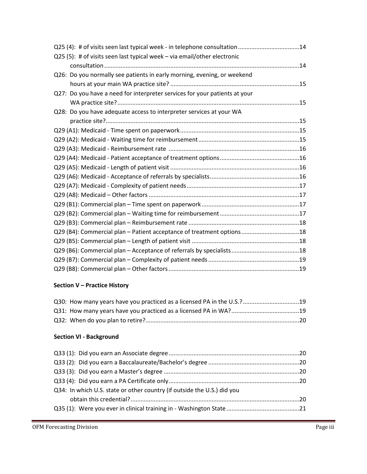| Q25 (4): # of visits seen last typical week - in telephone consultation 14 |  |
|----------------------------------------------------------------------------|--|
| Q25 (5): # of visits seen last typical week - via email/other electronic   |  |
|                                                                            |  |
| Q26: Do you normally see patients in early morning, evening, or weekend    |  |
|                                                                            |  |
| Q27: Do you have a need for interpreter services for your patients at your |  |
|                                                                            |  |
| Q28: Do you have adequate access to interpreter services at your WA        |  |
|                                                                            |  |
|                                                                            |  |
|                                                                            |  |
|                                                                            |  |
|                                                                            |  |
|                                                                            |  |
|                                                                            |  |
|                                                                            |  |
|                                                                            |  |
|                                                                            |  |
|                                                                            |  |
|                                                                            |  |
| Q29 (B4): Commercial plan - Patient acceptance of treatment options18      |  |
|                                                                            |  |
|                                                                            |  |
|                                                                            |  |
|                                                                            |  |

# **Section V – Practice History**

| Q30: How many years have you practiced as a licensed PA in the U.S.?19 |  |
|------------------------------------------------------------------------|--|
|                                                                        |  |
|                                                                        |  |

# **Section VI - Background**

| Q34: In which U.S. state or other country (if outside the U.S.) did you |  |
|-------------------------------------------------------------------------|--|
|                                                                         |  |
|                                                                         |  |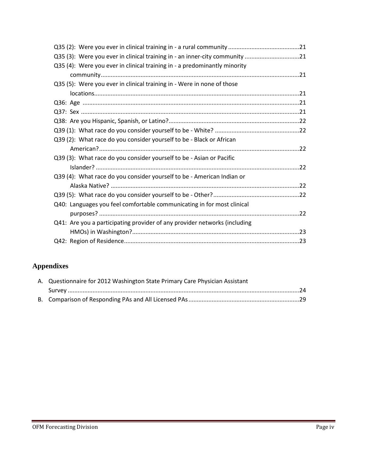| Q35 (3): Were you ever in clinical training in - an inner-city community 21 |  |
|-----------------------------------------------------------------------------|--|
| Q35 (4): Were you ever in clinical training in - a predominantly minority   |  |
|                                                                             |  |
| Q35 (5): Were you ever in clinical training in - Were in none of those      |  |
|                                                                             |  |
|                                                                             |  |
|                                                                             |  |
|                                                                             |  |
|                                                                             |  |
| Q39 (2): What race do you consider yourself to be - Black or African        |  |
|                                                                             |  |
| Q39 (3): What race do you consider yourself to be - Asian or Pacific        |  |
|                                                                             |  |
| Q39 (4): What race do you consider yourself to be - American Indian or      |  |
|                                                                             |  |
|                                                                             |  |
| Q40: Languages you feel comfortable communicating in for most clinical      |  |
|                                                                             |  |
| Q41: Are you a participating provider of any provider networks (including   |  |
|                                                                             |  |
|                                                                             |  |

# **Appendixes**

| A. Questionnaire for 2012 Washington State Primary Care Physician Assistant |  |
|-----------------------------------------------------------------------------|--|
|                                                                             |  |
|                                                                             |  |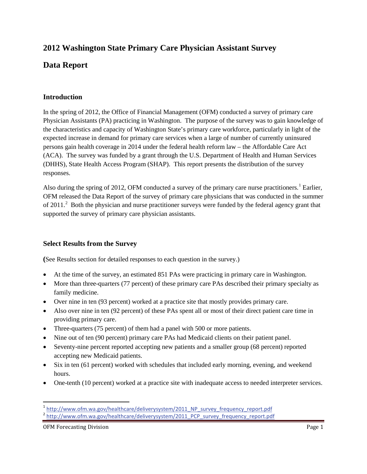# **2012 Washington State Primary Care Physician Assistant Survey**

# **Data Report**

#### **Introduction**

In the spring of 2012, the Office of Financial Management (OFM) conducted a survey of primary care Physician Assistants (PA) practicing in Washington. The purpose of the survey was to gain knowledge of the characteristics and capacity of Washington State's primary care workforce, particularly in light of the expected increase in demand for primary care services when a large of number of currently uninsured persons gain health coverage in 2014 under the federal health reform law – the Affordable Care Act (ACA). The survey was funded by a grant through the U.S. Department of Health and Human Services (DHHS), State Health Access Program (SHAP). This report presents the distribution of the survey responses.

Also during the spring of 20[1](#page-5-0)2, OFM conducted a survey of the primary care nurse practitioners.<sup>1</sup> Earlier, OFM released the Data Report of the survey of primary care physicians that was conducted in the summer of [2](#page-5-1)011.<sup>2</sup> Both the physician and nurse practitioner surveys were funded by the federal agency grant that supported the survey of primary care physician assistants.

#### **Select Results from the Survey**

**(**See Results section for detailed responses to each question in the survey.)

- At the time of the survey, an estimated 851 PAs were practicing in primary care in Washington.
- More than three-quarters (77 percent) of these primary care PAs described their primary specialty as family medicine.
- Over nine in ten (93 percent) worked at a practice site that mostly provides primary care.
- Also over nine in ten (92 percent) of these PAs spent all or most of their direct patient care time in providing primary care.
- Three-quarters (75 percent) of them had a panel with 500 or more patients.
- Nine out of ten (90 percent) primary care PAs had Medicaid clients on their patient panel.
- Seventy-nine percent reported accepting new patients and a smaller group (68 percent) reported accepting new Medicaid patients.
- Six in ten (61 percent) worked with schedules that included early morning, evening, and weekend hours.
- One-tenth (10 percent) worked at a practice site with inadequate access to needed interpreter services.

 $\overline{\phantom{a}}$ 

<sup>&</sup>lt;sup>1</sup> [http://www.ofm.wa.gov/healthcare/deliverysystem/2011\\_NP\\_survey\\_frequency\\_report.pdf](http://www.ofm.wa.gov/healthcare/deliverysystem/2011_NP_survey_frequency_report.pdf)

<span id="page-5-1"></span><span id="page-5-0"></span><sup>2</sup> [http://www.ofm.wa.gov/healthcare/deliverysystem/2011\\_PCP\\_survey\\_frequency\\_report.pdf](http://www.ofm.wa.gov/healthcare/deliverysystem/2011_PCP_survey_frequency_report.pdf)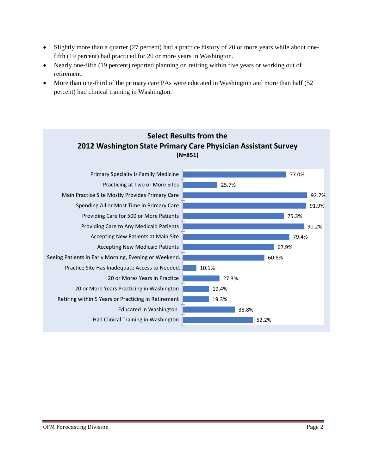- Slightly more than a quarter (27 percent) had a practice history of 20 or more years while about onefifth (19 percent) had practiced for 20 or more years in Washington.
- Nearly one-fifth (19 percent) reported planning on retiring within five years or working out of retirement.
- More than one-third of the primary care PAs were educated in Washington and more than half (52 percent) had clinical training in Washington.

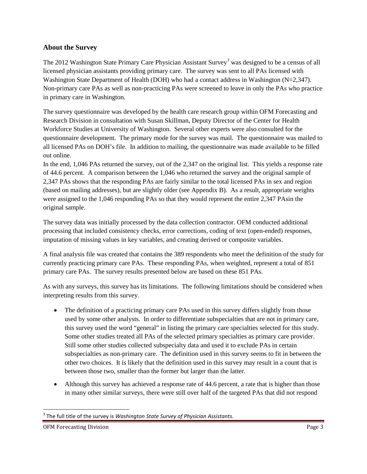#### **About the Survey**

The 2012 Washington State Primary Care Physician Assistant Survey<sup>[3](#page-7-0)</sup> was designed to be a census of all licensed physician assistants providing primary care. The survey was sent to all PAs licensed with Washington State Department of Health (DOH) who had a contact address in Washington (N=2,347). Non-primary care PAs as well as non-practicing PAs were screened to leave in only the PAs who practice in primary care in Washington.

The survey questionnaire was developed by the health care research group within OFM Forecasting and Research Division in consultation with Susan Skillman, Deputy Director of the Center for Health Workforce Studies at University of Washington. Several other experts were also consulted for the questionnaire development. The primary mode for the survey was mail. The questionnaire was mailed to all licensed PAs on DOH's file. In addition to mailing, the questionnaire was made available to be filled out online.

In the end, 1,046 PAs returned the survey, out of the 2,347 on the original list. This yields a response rate of 44.6 percent. A comparison between the 1,046 who returned the survey and the original sample of 2,347 PAs shows that the responding PAs are fairly similar to the total licensed PAs in sex and region (based on mailing addresses), but are slightly older (see Appendix B). As a result, appropriate weights were assigned to the 1,046 responding PAs so that they would represent the entire 2,347 PAsin the original sample.

The survey data was initially processed by the data collection contractor. OFM conducted additional processing that included consistency checks, error corrections, coding of text (open-ended) responses, imputation of missing values in key variables, and creating derived or composite variables.

A final analysis file was created that contains the 389 respondents who meet the definition of the study for currently practicing primary care PAs. These responding PAs, when weighted, represent a total of 851 primary care PAs. The survey results presented below are based on these 851 PAs.

As with any surveys, this survey has its limitations. The following limitations should be considered when interpreting results from this survey.

- The definition of a practicing primary care PAs used in this survey differs slightly from those used by some other analysts. In order to differentiate subspecialties that are not in primary care, this survey used the word "general" in listing the primary care specialties selected for this study. Some other studies treated all PAs of the selected primary specialties as primary care provider. Still some other studies collected subspecialty data and used it to exclude PAs in certain subspecialties as non-primary care. The definition used in this survey seems to fit in between the other two choices. It is likely that the definition used in this survey may result in a count that is between those two, smaller than the former but larger than the latter.
- Although this survey has achieved a response rate of 44.6 percent, a rate that is higher than those in many other similar surveys, there were still over half of the targeted PAs that did not respond

l

<span id="page-7-0"></span><sup>3</sup> The full title of the survey is *Washington State Survey of Physician Assistants*.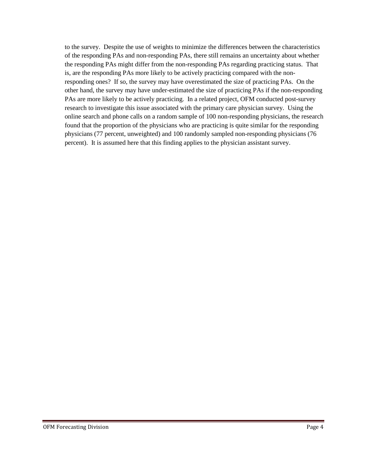to the survey. Despite the use of weights to minimize the differences between the characteristics of the responding PAs and non-responding PAs, there still remains an uncertainty about whether the responding PAs might differ from the non-responding PAs regarding practicing status. That is, are the responding PAs more likely to be actively practicing compared with the nonresponding ones? If so, the survey may have overestimated the size of practicing PAs. On the other hand, the survey may have under-estimated the size of practicing PAs if the non-responding PAs are more likely to be actively practicing. In a related project, OFM conducted post-survey research to investigate this issue associated with the primary care physician survey. Using the online search and phone calls on a random sample of 100 non-responding physicians, the research found that the proportion of the physicians who are practicing is quite similar for the responding physicians (77 percent, unweighted) and 100 randomly sampled non-responding physicians (76 percent). It is assumed here that this finding applies to the physician assistant survey.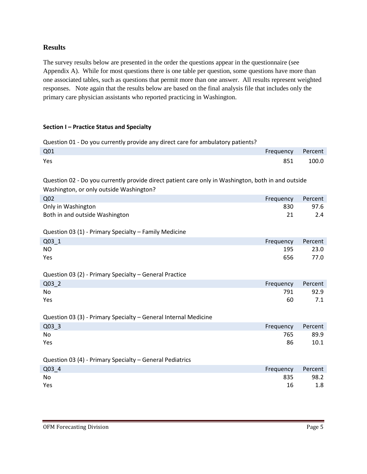#### **Results**

The survey results below are presented in the order the questions appear in the questionnaire (see Appendix A). While for most questions there is one table per question, some questions have more than one associated tables, such as questions that permit more than one answer. All results represent weighted responses. Note again that the results below are based on the final analysis file that includes only the primary care physician assistants who reported practicing in Washington.

#### **Section I – Practice Status and Specialty**

Question 01 - Do you currently provide any direct care for ambulatory patients?

| Q <sub>01</sub>                                                                                    | Frequency | Percent |  |  |
|----------------------------------------------------------------------------------------------------|-----------|---------|--|--|
| Yes                                                                                                | 851       | 100.0   |  |  |
| Question 02 - Do you currently provide direct patient care only in Washington, both in and outside |           |         |  |  |
| Washington, or only outside Washington?                                                            |           |         |  |  |
| Q <sub>02</sub>                                                                                    | Frequency | Percent |  |  |
| Only in Washington                                                                                 | 830       | 97.6    |  |  |
| Both in and outside Washington                                                                     | 21        | 2.4     |  |  |
| Question 03 (1) - Primary Specialty - Family Medicine                                              |           |         |  |  |
| $Q03_1$                                                                                            | Frequency | Percent |  |  |
| <b>NO</b>                                                                                          | 195       | 23.0    |  |  |
| Yes                                                                                                | 656       | 77.0    |  |  |
| Question 03 (2) - Primary Specialty - General Practice                                             |           |         |  |  |
| Q03 2                                                                                              | Frequency | Percent |  |  |
| <b>No</b>                                                                                          | 791       | 92.9    |  |  |
| Yes                                                                                                | 60        | 7.1     |  |  |
| Question 03 (3) - Primary Specialty - General Internal Medicine                                    |           |         |  |  |
| $Q03$ 3                                                                                            | Frequency | Percent |  |  |
| No                                                                                                 | 765       | 89.9    |  |  |
| Yes                                                                                                | 86        | 10.1    |  |  |
| Question 03 (4) - Primary Specialty - General Pediatrics                                           |           |         |  |  |
| Q03 4                                                                                              | Frequency | Percent |  |  |
| <b>No</b>                                                                                          | 835       | 98.2    |  |  |
| Yes                                                                                                | 16        | 1.8     |  |  |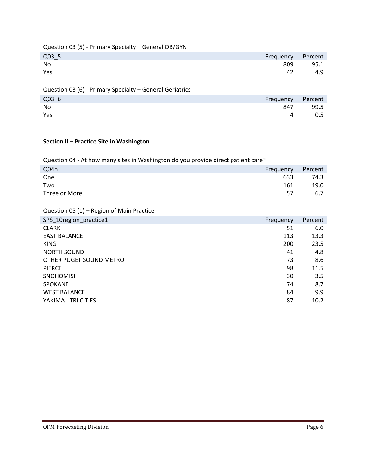| Question 03 (5) - Primary Specialty - General OB/GYN |  |  |  |  |
|------------------------------------------------------|--|--|--|--|
|------------------------------------------------------|--|--|--|--|

| $Q03-5$   |     | Frequency Percent |
|-----------|-----|-------------------|
| <b>No</b> | 809 | 95.1              |
| Yes       | 42  | 4.9               |

### Question 03 (6) - Primary Specialty – General Geriatrics

| Q03_6 | Frequency Percent |      |
|-------|-------------------|------|
| No    | 847               | 99.5 |
| Yes   | 4                 | 0.5  |

#### **Section II – Practice Site in Washington**

Question 04 - At how many sites in Washington do you provide direct patient care?

| Q04n          | Frequency | Percent |
|---------------|-----------|---------|
| One           | 633       | 74.3    |
| Two           | 161       | 19.0    |
| Three or More | 57        | 6.7     |

Question 05 (1) – Region of Main Practice

| SPS_10region_practice1  | Frequency | Percent |
|-------------------------|-----------|---------|
| <b>CLARK</b>            | 51        | 6.0     |
| <b>EAST BALANCE</b>     | 113       | 13.3    |
| <b>KING</b>             | 200       | 23.5    |
| <b>NORTH SOUND</b>      | 41        | 4.8     |
| OTHER PUGET SOUND METRO | 73        | 8.6     |
| <b>PIERCE</b>           | 98        | 11.5    |
| <b>SNOHOMISH</b>        | 30        | 3.5     |
| <b>SPOKANE</b>          | 74        | 8.7     |
| <b>WEST BALANCE</b>     | 84        | 9.9     |
| YAKIMA - TRI CITIES     | 87        | 10.2    |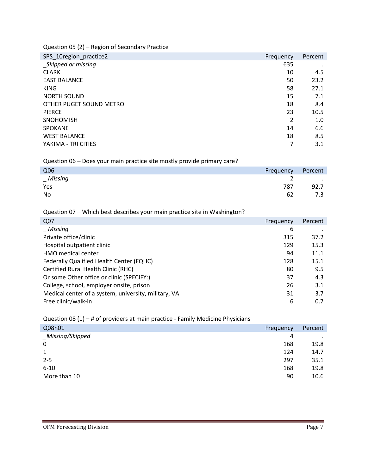Question 05 (2) – Region of Secondary Practice

| SPS_10region_practice2  | Frequency | Percent |
|-------------------------|-----------|---------|
| _Skipped or missing     | 635       |         |
| <b>CLARK</b>            | 10        | 4.5     |
| <b>EAST BALANCE</b>     | 50        | 23.2    |
| <b>KING</b>             | 58        | 27.1    |
| <b>NORTH SOUND</b>      | 15        | 7.1     |
| OTHER PUGET SOUND METRO | 18        | 8.4     |
| <b>PIERCE</b>           | 23        | 10.5    |
| <b>SNOHOMISH</b>        | 2         | 1.0     |
| <b>SPOKANE</b>          | 14        | 6.6     |
| <b>WEST BALANCE</b>     | 18        | 8.5     |
| YAKIMA - TRI CITIES     |           | 3.1     |

Question 06 – Does your main practice site mostly provide primary care?

| Q06            | Frequency | Percent        |
|----------------|-----------|----------------|
| <b>Missing</b> | _         | $\blacksquare$ |
| Yes            | 787       | 92.7           |
| No             | 62        | 7.3            |

Question 07 – Which best describes your main practice site in Washington?

| Q07                                                  | Frequency | Percent |
|------------------------------------------------------|-----------|---------|
| Missing                                              | 6         |         |
| Private office/clinic                                | 315       | 37.2    |
| Hospital outpatient clinic                           | 129       | 15.3    |
| <b>HMO</b> medical center                            | 94        | 11.1    |
| Federally Qualified Health Center (FQHC)             | 128       | 15.1    |
| Certified Rural Health Clinic (RHC)                  | 80        | 9.5     |
| Or some Other office or clinic (SPECIFY:)            | 37        | 4.3     |
| College, school, employer onsite, prison             | 26        | 3.1     |
| Medical center of a system, university, military, VA | 31        | 3.7     |
| Free clinic/walk-in                                  | 6         | 0.7     |

Question 08 (1) – # of providers at main practice - Family Medicine Physicians

| Q08n01           | Frequency | Percent |
|------------------|-----------|---------|
| _Missing/Skipped | 4         | $\cdot$ |
| 0                | 168       | 19.8    |
| $\mathbf{1}$     | 124       | 14.7    |
| $2 - 5$          | 297       | 35.1    |
| $6 - 10$         | 168       | 19.8    |
| More than 10     | 90        | 10.6    |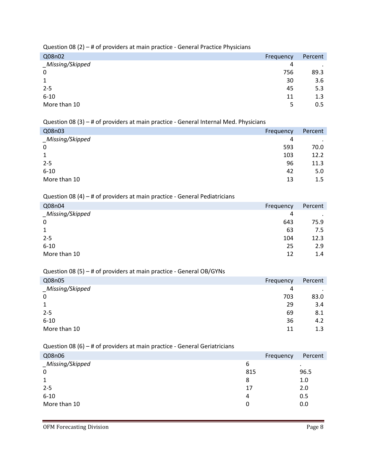Question 08 (2) – # of providers at main practice - General Practice Physicians

| Q08n02           | Frequency | Percent   |
|------------------|-----------|-----------|
| _Missing/Skipped | 4         | $\bullet$ |
| 0                | 756       | 89.3      |
| $\mathbf{1}$     | 30        | 3.6       |
| $2 - 5$          | 45        | 5.3       |
| $6 - 10$         | 11        | 1.3       |
| More than 10     | 5         | 0.5       |

Question 08 (3) – # of providers at main practice - General Internal Med. Physicians

| Q08n03           | Frequency | Percent   |
|------------------|-----------|-----------|
| _Missing/Skipped | 4         | $\bullet$ |
| $\mathbf 0$      | 593       | 70.0      |
| 1                | 103       | 12.2      |
| $2 - 5$          | 96        | 11.3      |
| $6 - 10$         | 42        | 5.0       |
| More than 10     | 13        | 1.5       |

#### Question 08 (4) – # of providers at main practice - General Pediatricians

| Q08n04           | Frequency | Percent   |
|------------------|-----------|-----------|
| _Missing/Skipped | 4         | $\bullet$ |
| $\mathbf 0$      | 643       | 75.9      |
| 1                | 63        | 7.5       |
| $2 - 5$          | 104       | 12.3      |
| $6 - 10$         | 25        | 2.9       |
| More than 10     | 12        | 1.4       |

#### Question 08 (5) – # of providers at main practice - General OB/GYNs

| Q08n05           | Frequency | Percent |
|------------------|-----------|---------|
| _Missing/Skipped | 4         | $\cdot$ |
| 0                | 703       | 83.0    |
| 1                | 29        | 3.4     |
| $2 - 5$          | 69        | 8.1     |
| $6 - 10$         | 36        | 4.2     |
| More than 10     | 11        | 1.3     |

#### Question 08 (6) – # of providers at main practice - General Geriatricians

| Q08n06           |     | Frequency | Percent   |
|------------------|-----|-----------|-----------|
| _Missing/Skipped | 6   |           | $\bullet$ |
| 0                | 815 |           | 96.5      |
| 1                | 8   |           | 1.0       |
| $2 - 5$          | 17  |           | 2.0       |
| $6 - 10$         | 4   |           | 0.5       |
| More than 10     | 0   |           | 0.0       |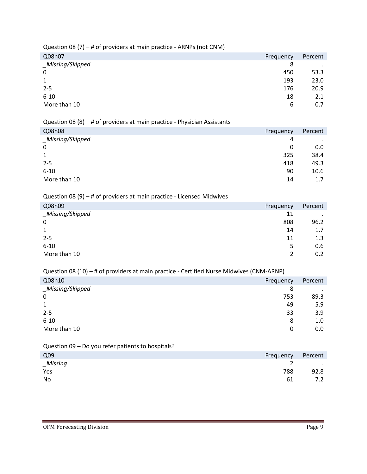|                  | $\cdot$ $\cdot$ |  | . . |           |         |
|------------------|-----------------|--|-----|-----------|---------|
| Q08n07           |                 |  |     | Frequency | Percent |
| _Missing/Skipped |                 |  |     | 8         | $\cdot$ |
| $\mathbf 0$      |                 |  |     | 450       | 53.3    |
| 1                |                 |  |     | 193       | 23.0    |
| $2 - 5$          |                 |  |     | 176       | 20.9    |
| $6 - 10$         |                 |  |     | 18        | 2.1     |
| More than 10     |                 |  |     | 6         | 0.7     |
|                  |                 |  |     |           |         |

Question 08 (7) – # of providers at main practice - ARNPs (not CNM)

#### Question 08 (8) – # of providers at main practice - Physician Assistants

| Q08n08           | Frequency | Percent   |
|------------------|-----------|-----------|
| _Missing/Skipped | 4         | $\bullet$ |
| $\mathbf 0$      | 0         | 0.0       |
| 1                | 325       | 38.4      |
| $2 - 5$          | 418       | 49.3      |
| $6 - 10$         | 90        | 10.6      |
| More than 10     | 14        | 1.7       |

#### Question 08 (9) – # of providers at main practice - Licensed Midwives

| Q08n09           | Frequency | Percent |
|------------------|-----------|---------|
| _Missing/Skipped | 11        | $\cdot$ |
| 0                | 808       | 96.2    |
| 1                | 14        | 1.7     |
| $2 - 5$          | 11        | 1.3     |
| $6 - 10$         | 5         | 0.6     |
| More than 10     | 2         | 0.2     |

Question 08 (10) – # of providers at main practice - Certified Nurse Midwives (CNM-ARNP)

| Q08n10           | Frequency | Percent |
|------------------|-----------|---------|
| _Missing/Skipped | 8         | $\cdot$ |
| 0                | 753       | 89.3    |
| $\mathbf{1}$     | 49        | 5.9     |
| $2 - 5$          | 33        | 3.9     |
| $6 - 10$         | 8         | 1.0     |
| More than 10     | 0         | 0.0     |

Question 09 – Do you refer patients to hospitals?

| Q <sub>09</sub> | Frequency | Percent                  |
|-----------------|-----------|--------------------------|
| $\_Missing$     |           | <b>Contract Contract</b> |
| Yes             | 788       | 92.8                     |
| No              | 61        | 7.2                      |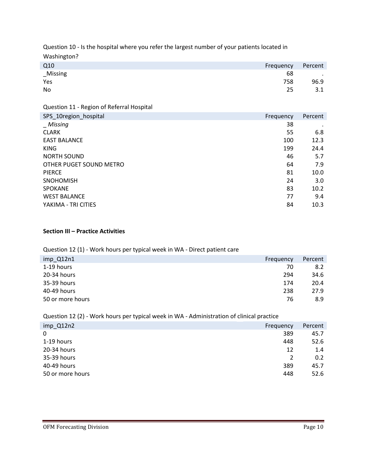Question 10 - Is the hospital where you refer the largest number of your patients located in Washington?

| Q10<br>Frequency |     | Percent    |
|------------------|-----|------------|
| _Missing         | 68  | $\sim 100$ |
| Yes              | 758 | 96.9       |
| No               | 25  | 3.1        |

Question 11 - Region of Referral Hospital

| SPS_10region_hospital   | Frequency | Percent |
|-------------------------|-----------|---------|
| <i>Missing</i>          | 38        |         |
| <b>CLARK</b>            | 55        | 6.8     |
| <b>EAST BALANCE</b>     | 100       | 12.3    |
| <b>KING</b>             | 199       | 24.4    |
| <b>NORTH SOUND</b>      | 46        | 5.7     |
| OTHER PUGET SOUND METRO | 64        | 7.9     |
| <b>PIERCE</b>           | 81        | 10.0    |
| <b>SNOHOMISH</b>        | 24        | 3.0     |
| <b>SPOKANE</b>          | 83        | 10.2    |
| <b>WEST BALANCE</b>     | 77        | 9.4     |
| YAKIMA - TRI CITIES     | 84        | 10.3    |

#### **Section III – Practice Activities**

#### Question 12 (1) - Work hours per typical week in WA - Direct patient care

| $imp_Q12n1$      | Frequency | Percent |
|------------------|-----------|---------|
| 1-19 hours       | 70        | 8.2     |
| 20-34 hours      | 294       | 34.6    |
| 35-39 hours      | 174       | 20.4    |
| 40-49 hours      | 238       | 27.9    |
| 50 or more hours | 76        | 8.9     |

Question 12 (2) - Work hours per typical week in WA - Administration of clinical practice

| $imp_Q12n2$      | Frequency | Percent |
|------------------|-----------|---------|
| 0                | 389       | 45.7    |
| 1-19 hours       | 448       | 52.6    |
| 20-34 hours      | 12        | 1.4     |
| 35-39 hours      | 2         | 0.2     |
| 40-49 hours      | 389       | 45.7    |
| 50 or more hours | 448       | 52.6    |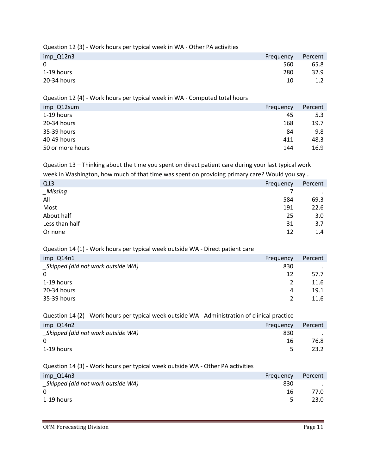Question 12 (3) - Work hours per typical week in WA - Other PA activities

| imp_Q12n3   | Frequency | Percent |
|-------------|-----------|---------|
| $\Omega$    | 560       | 65.8    |
| 1-19 hours  | 280       | 32.9    |
| 20-34 hours | 10        |         |

Question 12 (4) - Work hours per typical week in WA - Computed total hours

| imp_Q12sum       | Frequency | Percent |
|------------------|-----------|---------|
| 1-19 hours       | 45        | 5.3     |
| 20-34 hours      | 168       | 19.7    |
| 35-39 hours      | 84        | 9.8     |
| 40-49 hours      | 411       | 48.3    |
| 50 or more hours | 144       | 16.9    |
|                  |           |         |

Question 13 – Thinking about the time you spent on direct patient care during your last typical work week in Washington, how much of that time was spent on providing primary care? Would you say…

| Q13            | Frequency | Percent |
|----------------|-----------|---------|
| $_M$ issing    |           |         |
| All            | 584       | 69.3    |
| Most           | 191       | 22.6    |
| About half     | 25        | 3.0     |
| Less than half | 31        | 3.7     |
| Or none        | 12        | 1.4     |
|                |           |         |

#### Question 14 (1) - Work hours per typical week outside WA - Direct patient care

| imp Q14n1                          | Frequency     | Percent |
|------------------------------------|---------------|---------|
| _Skipped (did not work outside WA) | 830           |         |
| $\mathbf{0}$                       | 12            | 57.7    |
| 1-19 hours                         | 2             | 11.6    |
| 20-34 hours                        | 4             | 19.1    |
| 35-39 hours                        | $\mathcal{P}$ | 11.6    |
|                                    |               |         |

Question 14 (2) - Work hours per typical week outside WA - Administration of clinical practice

| imp Q14n2                          | Frequency | Percent |
|------------------------------------|-----------|---------|
| _Skipped (did not work outside WA) | 830       |         |
| $\Omega$                           | 16        | 76.8    |
| 1-19 hours                         |           | 23.2    |

#### Question 14 (3) - Work hours per typical week outside WA - Other PA activities

| $imp_Q14n3$                       | Frequency | Percent |
|-----------------------------------|-----------|---------|
| Skipped (did not work outside WA) | 830       |         |
| $\Omega$                          | 16        | 77.0    |
| 1-19 hours                        | 5.        | 23.0    |
|                                   |           |         |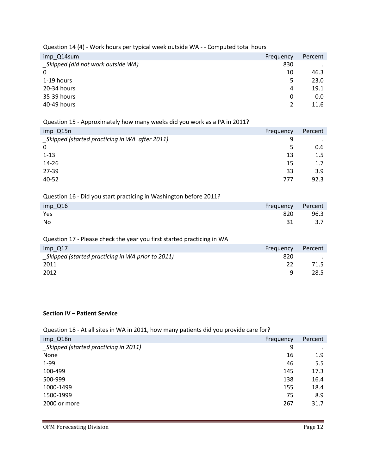| Question 14 (4) - Work hours per typical week outside WA - - Computed total hours |  |  |
|-----------------------------------------------------------------------------------|--|--|
|                                                                                   |  |  |

| imp Q14sum                         | Frequency | Percent |
|------------------------------------|-----------|---------|
| _Skipped (did not work outside WA) | 830       |         |
| 0                                  | 10        | 46.3    |
| 1-19 hours                         | 5         | 23.0    |
| 20-34 hours                        | 4         | 19.1    |
| 35-39 hours                        | 0         | 0.0     |
| 40-49 hours                        | 2         | 11.6    |

# Question 15 - Approximately how many weeks did you work as a PA in 2011?

| imp Q15n<br>Frequency                              | Percent |
|----------------------------------------------------|---------|
| Skipped (started practicing in WA after 2011)<br>9 |         |
| $\mathbf 0$<br>5                                   | 0.6     |
| $1 - 13$<br>13                                     | 1.5     |
| $14 - 26$<br>15                                    | 1.7     |
| 27-39<br>33                                        | 3.9     |
| 40-52<br>777                                       | 92.3    |

| Question 16 - Did you start practicing in Washington before 2011? |           |         |
|-------------------------------------------------------------------|-----------|---------|
| $imp$ Q16                                                         | Frequency | Percent |
| Yes                                                               | 820       | 96.3    |
| No                                                                | 31        | 3.7     |

| Question 17 - Please check the year you first started practicing in WA |           |         |
|------------------------------------------------------------------------|-----------|---------|
| $imp$ Q17                                                              | Frequency | Percent |
| Skipped (started practicing in WA prior to 2011)                       | 820       |         |
| 2011                                                                   | 22        | 71.5    |
| 2012                                                                   | Q         | 28.5    |

#### **Section IV – Patient Service**

| Question 18 - At all sites in WA in 2011, how many patients did you provide care for? |  |  |
|---------------------------------------------------------------------------------------|--|--|
|                                                                                       |  |  |
|                                                                                       |  |  |

| imp_Q18n                             | Frequency | Percent   |
|--------------------------------------|-----------|-----------|
| Skipped (started practicing in 2011) | 9         | $\bullet$ |
| None                                 | 16        | 1.9       |
| $1-99$                               | 46        | 5.5       |
| 100-499                              | 145       | 17.3      |
| 500-999                              | 138       | 16.4      |
| 1000-1499                            | 155       | 18.4      |
| 1500-1999                            | 75        | 8.9       |
| 2000 or more                         | 267       | 31.7      |
|                                      |           |           |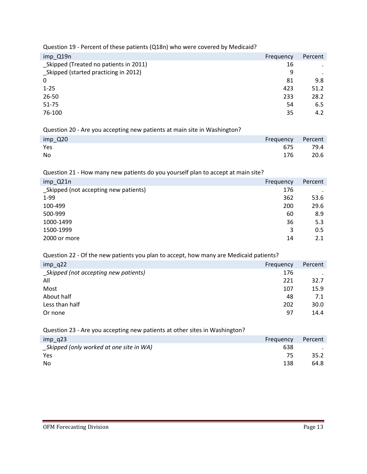Question 19 - Percent of these patients (Q18n) who were covered by Medicaid?

| imp_Q19n                              | Frequency | Percent   |
|---------------------------------------|-----------|-----------|
| Skipped (Treated no patients in 2011) | 16        | $\bullet$ |
| Skipped (started practicing in 2012)  | 9         | $\bullet$ |
| 0                                     | 81        | 9.8       |
| $1 - 25$                              | 423       | 51.2      |
| 26-50                                 | 233       | 28.2      |
| 51-75                                 | 54        | 6.5       |
| 76-100                                | 35        | 4.2       |
|                                       |           |           |

#### Question 20 - Are you accepting new patients at main site in Washington?

| imp_Q20 | Frequency Percent |      |
|---------|-------------------|------|
| Yes     | 675               | 79.4 |
| No      | 176               | 20.6 |

Question 21 - How many new patients do you yourself plan to accept at main site?

| imp_Q21n                              | Frequency | Percent |
|---------------------------------------|-----------|---------|
| _Skipped (not accepting new patients) | 176       |         |
| $1-99$                                | 362       | 53.6    |
| 100-499                               | 200       | 29.6    |
| 500-999                               | 60        | 8.9     |
| 1000-1499                             | 36        | 5.3     |
| 1500-1999                             | 3         | 0.5     |
| 2000 or more                          | 14        | 2.1     |

Question 22 - Of the new patients you plan to accept, how many are Medicaid patients?

| $imp_q22$                             | Frequency | Percent |
|---------------------------------------|-----------|---------|
| _Skipped (not accepting new patients) | 176       |         |
| All                                   | 221       | 32.7    |
| Most                                  | 107       | 15.9    |
| About half                            | 48        | 7.1     |
| Less than half                        | 202       | 30.0    |
| Or none                               | 97        | 14.4    |
|                                       |           |         |

Question 23 - Are you accepting new patients at other sites in Washington?

| $imp$ q23                               | Frequency | Percent |
|-----------------------------------------|-----------|---------|
| Skipped (only worked at one site in WA) | 638       |         |
| Yes                                     | 75        | 35.2    |
| No                                      | 138       | 64.8    |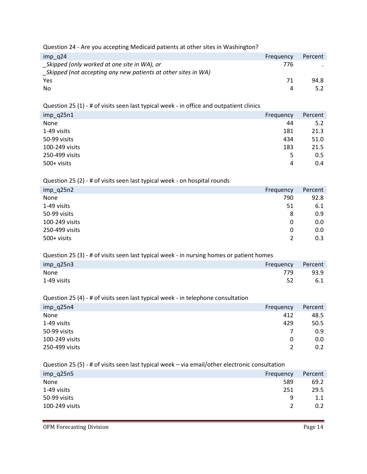Question 24 - Are you accepting Medicaid patients at other sites in Washington?

| $imp$ q24                                                     | Frequency | Percent |
|---------------------------------------------------------------|-----------|---------|
| Skipped (only worked at one site in WA), or                   | 776       |         |
| Skipped (not accepting any new patients at other sites in WA) |           |         |
| Yes                                                           | 71        | 94.8    |
| No.                                                           | 4         |         |

Question 25 (1) - # of visits seen last typical week - in office and outpatient clinics

| $imp_q25n1$    | Frequency | Percent |
|----------------|-----------|---------|
| None           | 44        | 5.2     |
| 1-49 visits    | 181       | 21.3    |
| 50-99 visits   | 434       | 51.0    |
| 100-249 visits | 183       | 21.5    |
| 250-499 visits | 5         | 0.5     |
| 500+ visits    | 4         | 0.4     |

Question 25 (2) - # of visits seen last typical week - on hospital rounds

| $imp_q25n2$    | Frequency | Percent |
|----------------|-----------|---------|
| None           | 790       | 92.8    |
| 1-49 visits    | 51        | 6.1     |
| 50-99 visits   | 8         | 0.9     |
| 100-249 visits | 0         | 0.0     |
| 250-499 visits | 0         | 0.0     |
| 500+ visits    | 2         | 0.3     |

Question 25 (3) - # of visits seen last typical week - in nursing homes or patient homes

| $imp_q25n3$ | Frequency Percent |      |
|-------------|-------------------|------|
| None        | 779               | 93.9 |
| 1-49 visits | 52                | 6.1  |

#### Question 25 (4) - # of visits seen last typical week - in telephone consultation

| $imp_{q}$ 25n4 | Frequency     | Percent |
|----------------|---------------|---------|
| None           | 412           | 48.5    |
| 1-49 visits    | 429           | 50.5    |
| 50-99 visits   | 7             | 0.9     |
| 100-249 visits | 0             | 0.0     |
| 250-499 visits | $\mathcal{P}$ | 0.2     |

Question 25 (5) - # of visits seen last typical week – via email/other electronic consultation

| $imp_{q}$ (25n5 | Frequency | Percent |
|-----------------|-----------|---------|
| None            | 589       | 69.2    |
| 1-49 visits     | 251       | 29.5    |
| 50-99 visits    | 9         | 1.1     |
| 100-249 visits  | <u>?</u>  | 0.2     |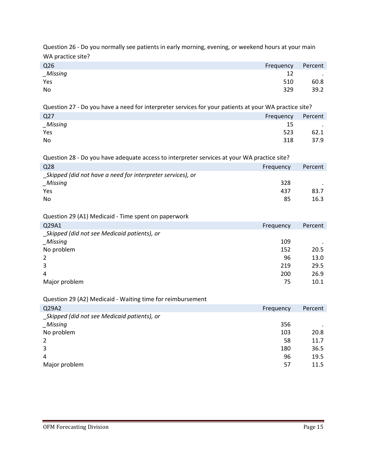Question 26 - Do you normally see patients in early morning, evening, or weekend hours at your main WA practice site?

| Q <sub>26</sub> | Frequency | Percent          |
|-----------------|-----------|------------------|
| Missing         | 12        | $\sim$ 100 $\mu$ |
| Yes             | 510       | 60.8             |
| No              | 329       | 39.2             |

Question 27 - Do you have a need for interpreter services for your patients at your WA practice site?

| Q <sub>27</sub> | Frequency | Percent                  |
|-----------------|-----------|--------------------------|
| $\_Missing$     | 15        | <b>Contract Contract</b> |
| Yes             | 523       | 62.1                     |
| No              | 318       | 37.9                     |

| Question 28 - Do you have adequate access to interpreter services at your WA practice site? |           |         |
|---------------------------------------------------------------------------------------------|-----------|---------|
| Q28                                                                                         | Frequency | Percent |
| Skipped (did not have a need for interpreter services), or                                  |           |         |
| Missing                                                                                     | 328       |         |
| Yes                                                                                         | 437       | 83.7    |
| <b>No</b>                                                                                   | 85        | 16.3    |
|                                                                                             |           |         |

Question 29 (A1) Medicaid - Time spent on paperwork

| Q29A1                                       | Frequency | Percent |
|---------------------------------------------|-----------|---------|
| Skipped (did not see Medicaid patients), or |           |         |
| _Missing                                    | 109       |         |
| No problem                                  | 152       | 20.5    |
| 2                                           | 96        | 13.0    |
| 3                                           | 219       | 29.5    |
| 4                                           | 200       | 26.9    |
| Major problem                               | 75        | 10.1    |

#### Question 29 (A2) Medicaid - Waiting time for reimbursement

| Q29A2                                       | Frequency | Percent |
|---------------------------------------------|-----------|---------|
| Skipped (did not see Medicaid patients), or |           |         |
| _Missing                                    | 356       | $\cdot$ |
| No problem                                  | 103       | 20.8    |
| 2                                           | 58        | 11.7    |
| 3                                           | 180       | 36.5    |
| 4                                           | 96        | 19.5    |
| Major problem                               | 57        | 11.5    |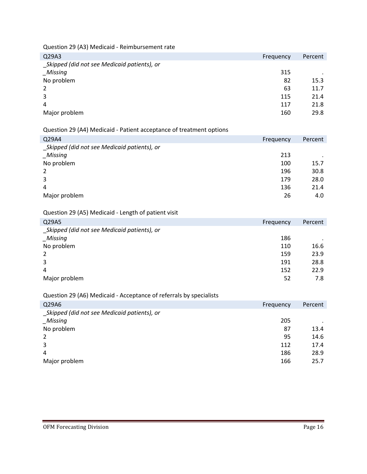Question 29 (A3) Medicaid - Reimbursement rate

| Q29A3                                       | Frequency | Percent |
|---------------------------------------------|-----------|---------|
| Skipped (did not see Medicaid patients), or |           |         |
| _Missing                                    | 315       | $\cdot$ |
| No problem                                  | 82        | 15.3    |
| 2                                           | 63        | 11.7    |
| 3                                           | 115       | 21.4    |
| 4                                           | 117       | 21.8    |
| Major problem                               | 160       | 29.8    |

#### Question 29 (A4) Medicaid - Patient acceptance of treatment options

| Q29A4                                       | Frequency | Percent |
|---------------------------------------------|-----------|---------|
| Skipped (did not see Medicaid patients), or |           |         |
| Missing                                     | 213       |         |
| No problem                                  | 100       | 15.7    |
| 2                                           | 196       | 30.8    |
| 3                                           | 179       | 28.0    |
| 4                                           | 136       | 21.4    |
| Major problem                               | 26        | 4.0     |

### Question 29 (A5) Medicaid - Length of patient visit

| Q29A5                                       | Frequency | Percent |
|---------------------------------------------|-----------|---------|
| Skipped (did not see Medicaid patients), or |           |         |
| Missing                                     | 186       | $\cdot$ |
| No problem                                  | 110       | 16.6    |
| 2                                           | 159       | 23.9    |
| 3                                           | 191       | 28.8    |
| 4                                           | 152       | 22.9    |
| Major problem                               | 52        | 7.8     |

#### Question 29 (A6) Medicaid - Acceptance of referrals by specialists

| Q29A6                                       | Frequency | Percent |
|---------------------------------------------|-----------|---------|
| Skipped (did not see Medicaid patients), or |           |         |
| Missing                                     | 205       |         |
| No problem                                  | 87        | 13.4    |
| 2                                           | 95        | 14.6    |
| 3                                           | 112       | 17.4    |
| 4                                           | 186       | 28.9    |
| Major problem                               | 166       | 25.7    |
|                                             |           |         |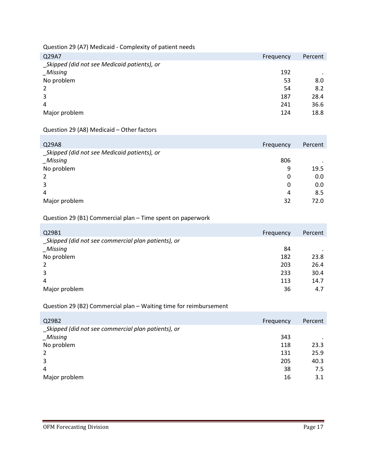Question 29 (A7) Medicaid - Complexity of patient needs

| Q29A7                                       | Frequency | Percent |
|---------------------------------------------|-----------|---------|
| Skipped (did not see Medicaid patients), or |           |         |
| _Missing                                    | 192       | $\cdot$ |
| No problem                                  | 53        | 8.0     |
| 2                                           | 54        | 8.2     |
| 3                                           | 187       | 28.4    |
| 4                                           | 241       | 36.6    |
| Major problem                               | 124       | 18.8    |

#### Question 29 (A8) Medicaid – Other factors

| Q29A8                                       | Frequency | Percent |
|---------------------------------------------|-----------|---------|
| Skipped (did not see Medicaid patients), or |           |         |
| <b>Missing</b>                              | 806       |         |
| No problem                                  | 9         | 19.5    |
| 2                                           | 0         | 0.0     |
| 3                                           | 0         | 0.0     |
| 4                                           | 4         | 8.5     |
| Major problem                               | 32        | 72.0    |

#### Question 29 (B1) Commercial plan – Time spent on paperwork

| Q29B1                                              | Frequency | Percent |
|----------------------------------------------------|-----------|---------|
| Skipped (did not see commercial plan patients), or |           |         |
| <b>Missing</b>                                     | 84        |         |
| No problem                                         | 182       | 23.8    |
| 2                                                  | 203       | 26.4    |
| 3                                                  | 233       | 30.4    |
| 4                                                  | 113       | 14.7    |
| Major problem                                      | 36        | 4.7     |

#### Question 29 (B2) Commercial plan – Waiting time for reimbursement

| Q29B2                                              | Frequency | Percent |
|----------------------------------------------------|-----------|---------|
| Skipped (did not see commercial plan patients), or |           |         |
| _Missing                                           | 343       |         |
| No problem                                         | 118       | 23.3    |
| 2                                                  | 131       | 25.9    |
| 3                                                  | 205       | 40.3    |
| 4                                                  | 38        | 7.5     |
| Major problem                                      | 16        | 3.1     |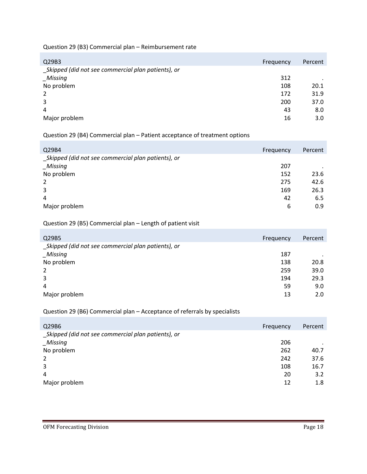#### Question 29 (B3) Commercial plan – Reimbursement rate

| Q29B3                                              | Frequency | Percent |
|----------------------------------------------------|-----------|---------|
| Skipped (did not see commercial plan patients), or |           |         |
| Missing                                            | 312       | $\cdot$ |
| No problem                                         | 108       | 20.1    |
| 2                                                  | 172       | 31.9    |
| 3                                                  | 200       | 37.0    |
| 4                                                  | 43        | 8.0     |
| Major problem                                      | 16        | 3.0     |

#### Question 29 (B4) Commercial plan – Patient acceptance of treatment options

| Q29B4                                              | Frequency | Percent |
|----------------------------------------------------|-----------|---------|
| Skipped (did not see commercial plan patients), or |           |         |
| Missing                                            | 207       |         |
| No problem                                         | 152       | 23.6    |
| 2                                                  | 275       | 42.6    |
| 3                                                  | 169       | 26.3    |
| 4                                                  | 42        | 6.5     |
| Major problem                                      | 6         | 0.9     |

#### Question 29 (B5) Commercial plan – Length of patient visit

| Q29B5                                              | Frequency | Percent |
|----------------------------------------------------|-----------|---------|
| Skipped (did not see commercial plan patients), or |           |         |
| _Missing                                           | 187       |         |
| No problem                                         | 138       | 20.8    |
| 2                                                  | 259       | 39.0    |
| 3                                                  | 194       | 29.3    |
| 4                                                  | 59        | 9.0     |
| Major problem                                      | 13        | 2.0     |

#### Question 29 (B6) Commercial plan – Acceptance of referrals by specialists

| Q29B6                                              | Frequency | Percent |
|----------------------------------------------------|-----------|---------|
| Skipped (did not see commercial plan patients), or |           |         |
| Missing                                            | 206       |         |
| No problem                                         | 262       | 40.7    |
| 2                                                  | 242       | 37.6    |
| 3                                                  | 108       | 16.7    |
| 4                                                  | 20        | 3.2     |
| Major problem                                      | 12        | 1.8     |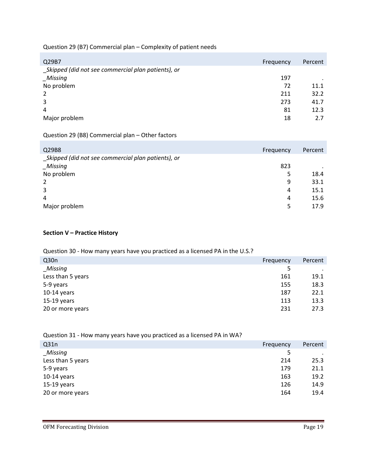#### Question 29 (B7) Commercial plan – Complexity of patient needs

| Frequency | Percent |
|-----------|---------|
|           |         |
| 197       | $\cdot$ |
| 72        | 11.1    |
| 211       | 32.2    |
| 273       | 41.7    |
| 81        | 12.3    |
| 18        | 2.7     |
|           |         |

#### Question 29 (B8) Commercial plan – Other factors

| Q29B8                                              | Frequency | Percent |
|----------------------------------------------------|-----------|---------|
| Skipped (did not see commercial plan patients), or |           |         |
| Missing                                            | 823       |         |
| No problem                                         | 5         | 18.4    |
| 2                                                  | 9         | 33.1    |
| 3                                                  | 4         | 15.1    |
| 4                                                  | 4         | 15.6    |
| Major problem                                      | 5         | 17.9    |

#### **Section V – Practice History**

#### Question 30 - How many years have you practiced as a licensed PA in the U.S.?

| Frequency | Percent |
|-----------|---------|
| 5         |         |
| 161       | 19.1    |
| 155       | 18.3    |
| 187       | 22.1    |
| 113       | 13.3    |
| 231       | 27.3    |
|           |         |

| gaestion six in the many years nave you practiced as a necrised in the with |           |         |
|-----------------------------------------------------------------------------|-----------|---------|
| Q <sub>31n</sub>                                                            | Frequency | Percent |
| _Missing                                                                    | 5         |         |
| Less than 5 years                                                           | 214       | 25.3    |
| 5-9 years                                                                   | 179       | 21.1    |
| $10-14$ years                                                               | 163       | 19.2    |
| $15-19$ years                                                               | 126       | 14.9    |
| 20 or more years                                                            | 164       | 19.4    |
|                                                                             |           |         |

#### Question 31 - How many years have you practiced as a licensed PA in WA?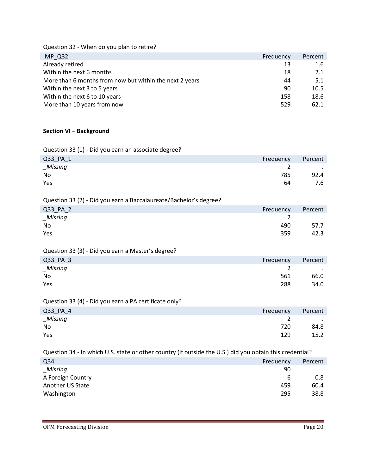Question 32 - When do you plan to retire?

| IMP Q32                                                 | Frequency | Percent |
|---------------------------------------------------------|-----------|---------|
| Already retired                                         | 13        | 1.6     |
| Within the next 6 months                                | 18        | 2.1     |
| More than 6 months from now but within the next 2 years | 44        | 5.1     |
| Within the next 3 to 5 years                            | 90        | 10.5    |
| Within the next 6 to 10 years                           | 158       | 18.6    |
| More than 10 years from now                             | 529       | 62.1    |

#### **Section VI – Background**

Question 33 (1) - Did you earn an associate degree?

| Q33_PA_1 | Frequency | Percent   |
|----------|-----------|-----------|
| _Missing |           | $\cdot$ . |
| No       | 785       | 92.4      |
| Yes      | 64        | 7.6       |

Question 33 (2) - Did you earn a Baccalaureate/Bachelor's degree?

| Q33_PA_2 | Frequency | Percent                           |
|----------|-----------|-----------------------------------|
| _Missing |           | <b>Contract Contract Contract</b> |
| No       | 490       | 57.7                              |
| Yes      | 359       | 42.3                              |

#### Question 33 (3) - Did you earn a Master's degree?

| Q33_PA_3 |  |  |  | Frequency | Percent |
|----------|--|--|--|-----------|---------|
| _Missing |  |  |  |           | $\sim$  |
| No       |  |  |  | 561       | 66.0    |
| Yes      |  |  |  | 288       | 34.0    |
|          |  |  |  |           |         |

#### Question 33 (4) - Did you earn a PA certificate only?

| Q33_PA_4    | Frequency | Percent       |
|-------------|-----------|---------------|
| $\_Missing$ |           | $\sim$ $\sim$ |
| No          | 720       | 84.8          |
| Yes         | 129       | 15.2          |

Question 34 - In which U.S. state or other country (if outside the U.S.) did you obtain this credential?

| Q <sub>34</sub>   | Frequency | Percent |
|-------------------|-----------|---------|
| Missing           | 90        | $\cdot$ |
| A Foreign Country | b         | 0.8     |
| Another US State  | 459       | 60.4    |
| Washington        | 295       | 38.8    |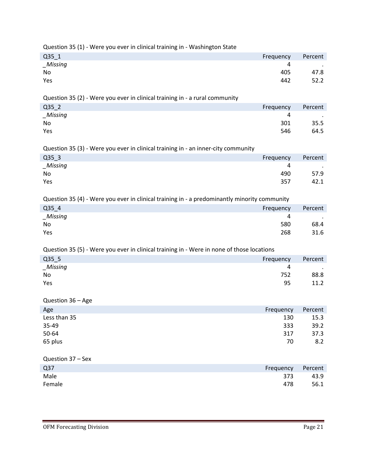| Question 35 (1) - Were you ever in clinical training in - Washington State                   |           |         |
|----------------------------------------------------------------------------------------------|-----------|---------|
| Q35 1                                                                                        | Frequency | Percent |
| <b>Missing</b>                                                                               | 4         |         |
| No                                                                                           | 405       | 47.8    |
| Yes                                                                                          | 442       | 52.2    |
|                                                                                              |           |         |
| Question 35 (2) - Were you ever in clinical training in - a rural community                  |           |         |
| Q35 <sub>2</sub>                                                                             | Frequency | Percent |
| <b>Missing</b>                                                                               | 4         |         |
| No                                                                                           | 301       | 35.5    |
| Yes                                                                                          | 546       | 64.5    |
|                                                                                              |           |         |
| Question 35 (3) - Were you ever in clinical training in - an inner-city community            |           |         |
| $Q35$ _3                                                                                     | Frequency | Percent |
| _Missing                                                                                     | 4         |         |
| No                                                                                           | 490       | 57.9    |
| Yes                                                                                          | 357       | 42.1    |
|                                                                                              |           |         |
| Question 35 (4) - Were you ever in clinical training in - a predominantly minority community |           |         |
| Q35 4                                                                                        | Frequency | Percent |
| Missing                                                                                      | 4         |         |
| No                                                                                           | 580       | 68.4    |
| Yes                                                                                          | 268       | 31.6    |
|                                                                                              |           |         |
| Question 35 (5) - Were you ever in clinical training in - Were in none of those locations    |           |         |
| Q35_5                                                                                        | Frequency | Percent |
| Missing                                                                                      | 4         |         |
| No                                                                                           | 752       | 88.8    |
| Yes                                                                                          | 95        | 11.2    |
|                                                                                              |           |         |
| Question 36 - Age                                                                            |           |         |
| Age                                                                                          | Frequency | Percent |
| Less than 35                                                                                 | 130       | 15.3    |
| 35-49                                                                                        | 333       | 39.2    |
| 50-64                                                                                        | 317       | 37.3    |
| 65 plus                                                                                      | 70        | 8.2     |
|                                                                                              |           |         |
| Question 37 - Sex                                                                            |           |         |
| Q <sub>37</sub>                                                                              | Frequency | Percent |
| Male                                                                                         | 373       | 43.9    |
| Female                                                                                       | 478       | 56.1    |
|                                                                                              |           |         |
|                                                                                              |           |         |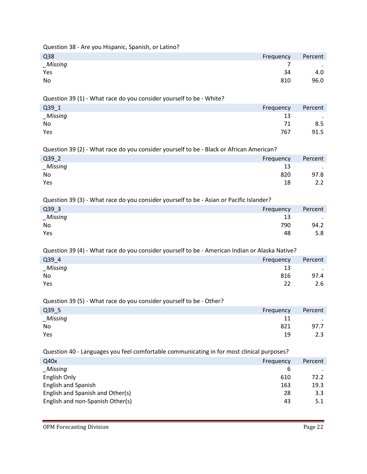Question 38 - Are you Hispanic, Spanish, or Latino?

| Q38         | Frequency | Percent |
|-------------|-----------|---------|
| $\_Missing$ |           | $\sim$  |
| Yes         | 34        | 4.0     |
| No          | 810       | 96.0    |

Question 39 (1) - What race do you consider yourself to be - White?

| Q39_1    | Frequency | Percent           |
|----------|-----------|-------------------|
| _Missing | 13        | $\sim$ 100 $\sim$ |
| No       | 71        | 8.5               |
| Yes      | 767       | 91.5              |

Question 39 (2) - What race do you consider yourself to be - Black or African American?

| Q39_2          | Frequency | Percent |
|----------------|-----------|---------|
| <b>Missing</b> | 13        | $\cdot$ |
| No             | 820       | 97.8    |
| Yes            | 18        | 2.2     |

Question 39 (3) - What race do you consider yourself to be - Asian or Pacific Islander?

| Q39_3   | Frequency | Percent |
|---------|-----------|---------|
| Missing | 13        | $\cdot$ |
| No      | 790       | 94.2    |
| Yes     | 48        | 5.8     |

Question 39 (4) - What race do you consider yourself to be - American Indian or Alaska Native?

| Q39_4                               | Frequency | Percent |
|-------------------------------------|-----------|---------|
| Missing<br>$\overline{\phantom{m}}$ | 13        | $\cdot$ |
| No                                  | 816       | 97.4    |
| Yes                                 | 22        | 2.6     |

Question 39 (5) - What race do you consider yourself to be - Other?

| Q39_5    | Frequency | Percent    |
|----------|-----------|------------|
| _Missing | 11        | $\sim 100$ |
| No       | 821       | 97.7       |
| Yes      | 19        | 2.3        |

Question 40 - Languages you feel comfortable communicating in for most clinical purposes?

| Q40x                             | Frequency | Percent |
|----------------------------------|-----------|---------|
| Missing                          | 6         |         |
| English Only                     | 610       | 72.2    |
| English and Spanish              | 163       | 19.3    |
| English and Spanish and Other(s) | 28        | 3.3     |
| English and non-Spanish Other(s) | 43        | 5.1     |
|                                  |           |         |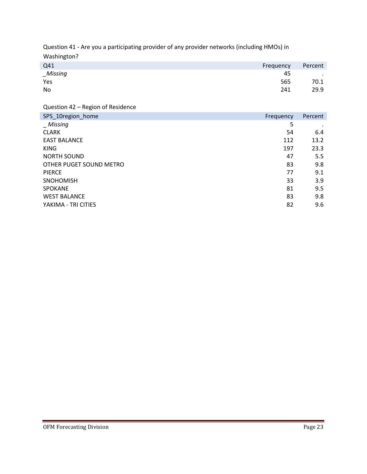Question 41 - Are you a participating provider of any provider networks (including HMOs) in Washington?

| Q41         | Frequency | Percent          |
|-------------|-----------|------------------|
| $\_Missing$ | 45        | $\sim$ 100 $\pm$ |
| Yes         | 565       | 70.1             |
| No          | 241       | 29.9             |

Question 42 – Region of Residence

| SPS_10region_home       | Frequency | Percent |
|-------------------------|-----------|---------|
| <i>Missing</i>          | 5         |         |
| <b>CLARK</b>            | 54        | 6.4     |
| <b>EAST BALANCE</b>     | 112       | 13.2    |
| <b>KING</b>             | 197       | 23.3    |
| <b>NORTH SOUND</b>      | 47        | 5.5     |
| OTHER PUGET SOUND METRO | 83        | 9.8     |
| <b>PIERCE</b>           | 77        | 9.1     |
| <b>SNOHOMISH</b>        | 33        | 3.9     |
| <b>SPOKANE</b>          | 81        | 9.5     |
| <b>WEST BALANCE</b>     | 83        | 9.8     |
| YAKIMA - TRI CITIES     | 82        | 9.6     |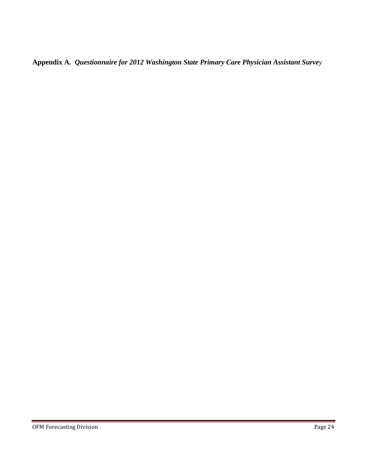**Appendix A.** *Questionnaire for 2012 Washington State Primary Care Physician Assistant Survey*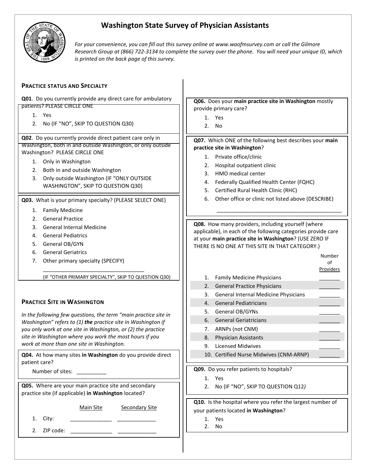

# **Washington State Survey of Physician Assistants**

*For your convenience, you can fill out this survey online at www.waofmsurvey.com or call the Gilmore Research Group at (866) 722-3134 to complete the survey over the phone. You will need your unique ID, which is printed on the back page of this survey.*

| <b>PRACTICE STATUS AND SPECIALTY</b>                                                         |                                                                                                                         |  |  |  |  |  |  |
|----------------------------------------------------------------------------------------------|-------------------------------------------------------------------------------------------------------------------------|--|--|--|--|--|--|
| Q01. Do you currently provide any direct care for ambulatory                                 |                                                                                                                         |  |  |  |  |  |  |
| patients? PLEASE CIRCLE ONE                                                                  | Q06. Does your main practice site in Washington mostly<br>provide primary care?                                         |  |  |  |  |  |  |
| 1. Yes                                                                                       | Yes<br>1.                                                                                                               |  |  |  |  |  |  |
| 2. No (IF "NO", SKIP TO QUESTION Q30)                                                        | No<br>2.                                                                                                                |  |  |  |  |  |  |
|                                                                                              |                                                                                                                         |  |  |  |  |  |  |
| Q02. Do you currently provide direct patient care only in                                    | Q07. Which ONE of the following best describes your main                                                                |  |  |  |  |  |  |
| Washington, both in and outside Washington, or only outside<br>Washington? PLEASE CIRCLE ONE | practice site in Washington?                                                                                            |  |  |  |  |  |  |
| 1. Only in Washington                                                                        | 1. Private office/clinic                                                                                                |  |  |  |  |  |  |
| Both in and outside Washington<br>2.                                                         | Hospital outpatient clinic<br>2.                                                                                        |  |  |  |  |  |  |
| Only outside Washington (IF "ONLY OUTSIDE<br>3.                                              | HMO medical center<br>3.                                                                                                |  |  |  |  |  |  |
| WASHINGTON", SKIP TO QUESTION Q30)                                                           | Federally Qualified Health Center (FQHC)<br>4.                                                                          |  |  |  |  |  |  |
|                                                                                              | Certified Rural Health Clinic (RHC)<br>5.                                                                               |  |  |  |  |  |  |
| Q03. What is your primary specialty? (PLEASE SELECT ONE)                                     | 6.<br>Other office or clinic not listed above (DESCRIBE)                                                                |  |  |  |  |  |  |
| <b>Family Medicine</b><br>1.                                                                 |                                                                                                                         |  |  |  |  |  |  |
| <b>General Practice</b><br>2.                                                                |                                                                                                                         |  |  |  |  |  |  |
| <b>General Internal Medicine</b><br>3.                                                       | Q08. How many providers, including yourself (where                                                                      |  |  |  |  |  |  |
| <b>General Pediatrics</b><br>4.                                                              | applicable), in each of the following categories provide care<br>at your main practice site in Washington? (USE ZERO IF |  |  |  |  |  |  |
| General OB/GYN<br>5.                                                                         | THERE IS NO ONE AT THIS SITE IN THAT CATEGORY.)                                                                         |  |  |  |  |  |  |
| <b>General Geriatrics</b><br>6.                                                              | Number                                                                                                                  |  |  |  |  |  |  |
| Other primary specialty (SPECIFY)<br>7.                                                      | of                                                                                                                      |  |  |  |  |  |  |
|                                                                                              | <b>Providers</b>                                                                                                        |  |  |  |  |  |  |
| (IF "OTHER PRIMARY SPECIALTY", SKIP TO QUESTION Q30)                                         | <b>Family Medicine Physicians</b><br>1.                                                                                 |  |  |  |  |  |  |
|                                                                                              | <b>General Practice Physicians</b><br>2.                                                                                |  |  |  |  |  |  |
|                                                                                              | General Internal Medicine Physicians<br>3.                                                                              |  |  |  |  |  |  |
| <b>PRACTICE SITE IN WASHINGTON</b>                                                           | <b>General Pediatricians</b><br>4.                                                                                      |  |  |  |  |  |  |
| In the following few questions, the term "main practice site in                              | General OB/GYNs<br>5.                                                                                                   |  |  |  |  |  |  |
| Washington" refers to (1) the practice site in Washington if                                 | <b>General Geriatricians</b><br>6.                                                                                      |  |  |  |  |  |  |
| you only work at one site in Washington, or (2) the practice                                 | ARNPs (not CNM)<br>7.                                                                                                   |  |  |  |  |  |  |
| site in Washington where you work the most hours if you                                      | Physician Assistants<br>8.                                                                                              |  |  |  |  |  |  |
| work at more than one site in Washington.                                                    | 9. Licensed Midwives                                                                                                    |  |  |  |  |  |  |
| Q04. At how many sites in Washington do you provide direct                                   | 10. Certified Nurse Midwives (CNM-ARNP)                                                                                 |  |  |  |  |  |  |
| patient care?                                                                                | Q09. Do you refer patients to hospitals?                                                                                |  |  |  |  |  |  |
| Number of sites: ___________                                                                 | 1. Yes                                                                                                                  |  |  |  |  |  |  |
| Q05. Where are your main practice site and secondary                                         | 2. No (IF "NO", SKIP TO QUESTION Q12)                                                                                   |  |  |  |  |  |  |
| practice site (if applicable) in Washington located?                                         |                                                                                                                         |  |  |  |  |  |  |
|                                                                                              | Q10. Is the hospital where you refer the largest number of                                                              |  |  |  |  |  |  |
| Main Site<br><b>Secondary Site</b>                                                           | your patients located in Washington?                                                                                    |  |  |  |  |  |  |
| City:<br>1.                                                                                  | Yes<br>1.                                                                                                               |  |  |  |  |  |  |
| 2.                                                                                           | 2. No                                                                                                                   |  |  |  |  |  |  |
|                                                                                              |                                                                                                                         |  |  |  |  |  |  |
|                                                                                              |                                                                                                                         |  |  |  |  |  |  |
|                                                                                              |                                                                                                                         |  |  |  |  |  |  |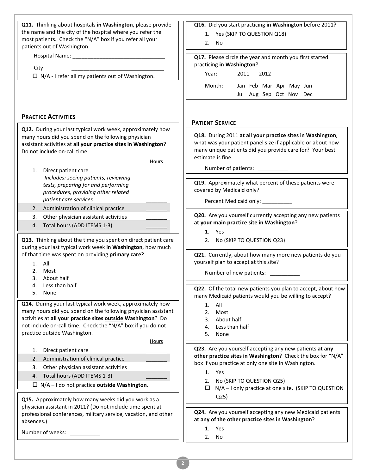| Q11. Thinking about hospitals in Washington, please provide                                                                 | Q16. Did you start practicing in Washington before 2011?                                                               |
|-----------------------------------------------------------------------------------------------------------------------------|------------------------------------------------------------------------------------------------------------------------|
| the name and the city of the hospital where you refer the                                                                   | 1. Yes (SKIP TO QUESTION Q18)                                                                                          |
| most patients. Check the "N/A" box if you refer all your<br>patients out of Washington.                                     | 2. No.                                                                                                                 |
|                                                                                                                             | Q17. Please circle the year and month you first started                                                                |
|                                                                                                                             | practicing in Washington?                                                                                              |
| City:                                                                                                                       | Year:<br>2011<br>2012                                                                                                  |
| $\Box$ N/A - I refer all my patients out of Washington.                                                                     |                                                                                                                        |
|                                                                                                                             | Month:<br>Jan Feb Mar Apr May Jun                                                                                      |
|                                                                                                                             | Jul Aug Sep Oct Nov Dec                                                                                                |
|                                                                                                                             |                                                                                                                        |
| <b>PRACTICE ACTIVITIES</b>                                                                                                  |                                                                                                                        |
| Q12. During your last typical work week, approximately how                                                                  | <b>PATIENT SERVICE</b>                                                                                                 |
| many hours did you spend on the following physician                                                                         | Q18. During 2011 at all your practice sites in Washington,                                                             |
| assistant activities at all your practice sites in Washington?                                                              | what was your patient panel size if applicable or about how                                                            |
| Do not include on-call time.                                                                                                | many unique patients did you provide care for? Your best<br>estimate is fine.                                          |
| Hours                                                                                                                       |                                                                                                                        |
| Direct patient care<br>1.                                                                                                   | Number of patients: ___________                                                                                        |
| Includes: seeing patients, reviewing                                                                                        | Q19. Approximately what percent of these patients were                                                                 |
| tests, preparing for and performing<br>procedures, providing other related                                                  | covered by Medicaid only?                                                                                              |
| patient care services                                                                                                       | Percent Medicaid only: ___________                                                                                     |
| Administration of clinical practice<br>2.                                                                                   |                                                                                                                        |
| Other physician assistant activities<br>3.                                                                                  | Q20. Are you yourself currently accepting any new patients                                                             |
| Total hours (ADD ITEMS 1-3)<br>4.                                                                                           | at your main practice site in Washington?                                                                              |
|                                                                                                                             | 1. Yes                                                                                                                 |
| Q13. Thinking about the time you spent on direct patient care<br>during your last typical work week in Washington, how much | 2. No (SKIP TO QUESTION Q23)                                                                                           |
| of that time was spent on providing primary care?                                                                           | Q21. Currently, about how many more new patients do you                                                                |
| $1.$ All                                                                                                                    | yourself plan to accept at this site?                                                                                  |
| 2.<br>Most                                                                                                                  | Number of new patients:                                                                                                |
| 3. About half                                                                                                               |                                                                                                                        |
| Less than half<br>4.<br>5.<br>None                                                                                          | Q22. Of the total new patients you plan to accept, about how                                                           |
|                                                                                                                             | many Medicaid patients would you be willing to accept?                                                                 |
| Q14. During your last typical work week, approximately how<br>many hours did you spend on the following physician assistant | All<br>1.                                                                                                              |
| activities at all your practice sites outside Washington? Do                                                                | 2.<br>Most<br>About half<br>3.                                                                                         |
| not include on-call time. Check the "N/A" box if you do not                                                                 | Less than half<br>4.                                                                                                   |
| practice outside Washington.                                                                                                | 5.<br>None                                                                                                             |
| Hours                                                                                                                       |                                                                                                                        |
| Direct patient care<br>1.                                                                                                   | Q23. Are you yourself accepting any new patients at any<br>other practice sites in Washington? Check the box for "N/A" |
| Administration of clinical practice<br>2.                                                                                   | box if you practice at only one site in Washington.                                                                    |
| Other physician assistant activities<br>3.                                                                                  | 1. Yes                                                                                                                 |
| Total hours (ADD ITEMS 1-3)<br>4.                                                                                           | No (SKIP TO QUESTION Q25)<br>2.                                                                                        |
| $\Box$ N/A - I do not practice outside Washington.                                                                          | N/A - I only practice at one site. (SKIP TO QUESTION<br>□                                                              |
| Q15. Approximately how many weeks did you work as a                                                                         | Q <sub>25</sub>                                                                                                        |
| physician assistant in 2011? (Do not include time spent at                                                                  |                                                                                                                        |
| professional conferences, military service, vacation, and other                                                             | Q24. Are you yourself accepting any new Medicaid patients                                                              |
| absences.)                                                                                                                  | at any of the other practice sites in Washington?                                                                      |
| Number of weeks:                                                                                                            | 1. Yes                                                                                                                 |
|                                                                                                                             | 2.<br>No                                                                                                               |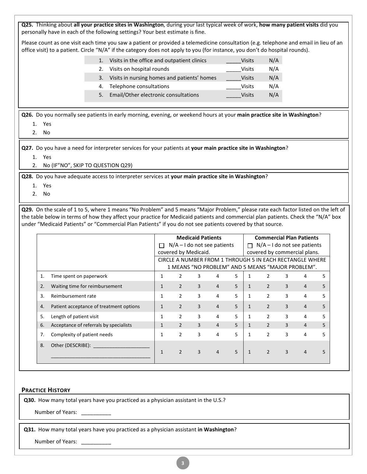| Q25. Thinking about all your practice sites in Washington, during your last typical week of work, how many patient visits did you<br>personally have in each of the following settings? Your best estimate is fine.                                                                                                                                                                   |                                      |                                                                                                               |                          |                |               |                                    |                |                                 |                |    |  |
|---------------------------------------------------------------------------------------------------------------------------------------------------------------------------------------------------------------------------------------------------------------------------------------------------------------------------------------------------------------------------------------|--------------------------------------|---------------------------------------------------------------------------------------------------------------|--------------------------|----------------|---------------|------------------------------------|----------------|---------------------------------|----------------|----|--|
| Please count as one visit each time you saw a patient or provided a telemedicine consultation (e.g. telephone and email in lieu of an<br>office visit) to a patient. Circle "N/A" if the category does not apply to you (for instance, you don't do hospital rounds).                                                                                                                 |                                      |                                                                                                               |                          |                |               |                                    |                |                                 |                |    |  |
| 1. Visits in the office and outpatient clinics                                                                                                                                                                                                                                                                                                                                        |                                      |                                                                                                               |                          |                |               | <b>Visits</b>                      | N/A            |                                 |                |    |  |
| 2.                                                                                                                                                                                                                                                                                                                                                                                    | Visits on hospital rounds            |                                                                                                               |                          |                |               | <b>Visits</b>                      | N/A            |                                 |                |    |  |
| 3.                                                                                                                                                                                                                                                                                                                                                                                    |                                      | Visits in nursing homes and patients' homes                                                                   |                          |                | <b>Visits</b> | N/A                                |                |                                 |                |    |  |
| 4.                                                                                                                                                                                                                                                                                                                                                                                    | Telephone consultations              |                                                                                                               |                          |                |               | <b>Visits</b>                      | N/A            |                                 |                |    |  |
| 5.                                                                                                                                                                                                                                                                                                                                                                                    | Email/Other electronic consultations |                                                                                                               |                          |                |               | <b>Visits</b>                      | N/A            |                                 |                |    |  |
| Q26. Do you normally see patients in early morning, evening, or weekend hours at your main practice site in Washington?<br>1. Yes<br>2. No                                                                                                                                                                                                                                            |                                      |                                                                                                               |                          |                |               |                                    |                |                                 |                |    |  |
| Q27. Do you have a need for interpreter services for your patients at your main practice site in Washington?<br>1. Yes<br>2. No (IF"NO", SKIP TO QUESTION Q29)                                                                                                                                                                                                                        |                                      |                                                                                                               |                          |                |               |                                    |                |                                 |                |    |  |
| Q28. Do you have adequate access to interpreter services at your main practice site in Washington?<br>1. Yes<br>2. No                                                                                                                                                                                                                                                                 |                                      |                                                                                                               |                          |                |               |                                    |                |                                 |                |    |  |
| Q29. On the scale of 1 to 5, where 1 means "No Problem" and 5 means "Major Problem," please rate each factor listed on the left of<br>the table below in terms of how they affect your practice for Medicaid patients and commercial plan patients. Check the "N/A" box<br>under "Medicaid Patients" or "Commercial Plan Patients" if you do not see patients covered by that source. |                                      |                                                                                                               |                          |                |               |                                    |                |                                 |                |    |  |
|                                                                                                                                                                                                                                                                                                                                                                                       |                                      |                                                                                                               | <b>Medicaid Patients</b> |                |               |                                    |                | <b>Commercial Plan Patients</b> |                |    |  |
|                                                                                                                                                                                                                                                                                                                                                                                       |                                      | $\Box$ N/A-I do not see patients                                                                              |                          |                |               | $\Box$ N/A - I do not see patients |                |                                 |                |    |  |
|                                                                                                                                                                                                                                                                                                                                                                                       |                                      | covered by Medicaid.<br>covered by commercial plans.                                                          |                          |                |               |                                    |                |                                 |                |    |  |
|                                                                                                                                                                                                                                                                                                                                                                                       |                                      | CIRCLE A NUMBER FROM 1 THROUGH 5 IN EACH RECTANGLE WHERE<br>1 MEANS "NO PROBLEM" AND 5 MEANS "MAJOR PROBLEM". |                          |                |               |                                    |                |                                 |                |    |  |
| Time spent on paperwork<br>1.                                                                                                                                                                                                                                                                                                                                                         | $\mathbf{1}$                         | $\overline{2}$                                                                                                | 3                        | 4              | 5             | $\mathbf{1}$                       | $\overline{2}$ | 3                               | 4              | 5  |  |
| Waiting time for reimbursement<br>2.                                                                                                                                                                                                                                                                                                                                                  | 1                                    | $\mathcal{P}$                                                                                                 | $\mathcal{R}$            | 4              | $5 -$         | 1                                  | $\mathcal{P}$  | $\mathbf{R}$                    | 4              | 5. |  |
| Reimbursement rate<br>3.                                                                                                                                                                                                                                                                                                                                                              | $\mathbf{1}$                         | $\overline{2}$                                                                                                | 3                        | 4              | 5             | 1                                  | $\overline{2}$ | 3                               | 4              | 5  |  |
| Patient acceptance of treatment options<br>4.                                                                                                                                                                                                                                                                                                                                         | $\mathbf{1}$                         | $\overline{2}$                                                                                                | 3                        | 4              | 5             | $\mathbf{1}$                       | $\overline{2}$ | 3                               | 4              | 5  |  |
| Length of patient visit<br>5.                                                                                                                                                                                                                                                                                                                                                         | $\mathbf{1}$                         | $\overline{2}$                                                                                                | 3                        | 4              | 5             | $\mathbf{1}$                       | $\overline{2}$ | 3                               | 4              | 5. |  |
| Acceptance of referrals by specialists<br>6.                                                                                                                                                                                                                                                                                                                                          | $\mathbf{1}$                         | $\overline{2}$                                                                                                | 3                        | 4              | 5             | $\mathbf{1}$                       | $2^{\circ}$    | $\overline{3}$                  | $\overline{4}$ | 5  |  |
| Complexity of patient needs<br>7.                                                                                                                                                                                                                                                                                                                                                     | $\mathbf{1}$                         | $\overline{2}$                                                                                                | 3                        | 4              | 5             | $\mathbf{1}$                       | $\overline{2}$ | 3                               | 4              | 5. |  |
| Other (DESCRIBE): _______________<br>8.                                                                                                                                                                                                                                                                                                                                               |                                      |                                                                                                               |                          |                |               |                                    |                |                                 |                |    |  |
|                                                                                                                                                                                                                                                                                                                                                                                       | $\mathbf{1}$                         | $\overline{2}$                                                                                                | 3                        | $\overline{4}$ | 5             | $\mathbf{1}$                       | $\overline{2}$ | 3                               | 4              | 5  |  |
|                                                                                                                                                                                                                                                                                                                                                                                       |                                      |                                                                                                               |                          |                |               |                                    |                |                                 |                |    |  |

#### **PRACTICE HISTORY**

**Q30.** How many total years have you practiced as a physician assistant in the U.S.?

Number of Years: \_\_\_\_\_\_\_\_\_\_

**Q31.** How many total years have you practiced as a physician assistant **in Washington**?

Number of Years: \_\_\_\_\_\_\_\_\_\_\_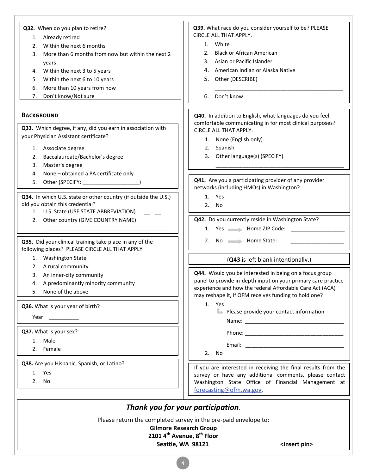#### **Q32.** When do you plan to retire?

- 1. Already retired
- 2. Within the next 6 months
- 3. More than 6 months from now but within the next 2 years
- 4. Within the next 3 to 5 years
- 5. Within the next 6 to 10 years
- 6. More than 10 years from now
- 7. Don't know/Not sure

#### **BACKGROUND**

**Q33.** Which degree, if any, did you earn in association with your Physician Assistant certificate?

- 1. Associate degree
- 2. Baccalaureate/Bachelor's degree
- 3. Master's degree
- 4. None obtained a PA certificate only
- 5. Other (SPECIFY:  $\qquad \qquad$ )

**Q34.** In which U.S. state or other country (if outside the U.S.) did you obtain this credential?

\_\_\_\_\_\_\_\_\_\_\_\_\_\_\_\_\_\_\_\_\_\_\_\_\_\_\_\_\_\_\_\_\_\_\_\_\_\_\_\_\_\_\_

- 1. U.S. State (USE STATE ABBREVIATION)
- 2. Other country (GIVE COUNTRY NAME)

**Q35.** Did your clinical training take place in any of the following places? PLEASE CIRCLE ALL THAT APPLY

- 1. Washington State
- 2. A rural community
- 3. An inner-city community
- 4. A predominantly minority community
- 5. None of the above

**Q36.** What is your year of birth?

Year: \_

**Q37.** What is your sex?

- 1. Male
- 2. Female

**Q38.** Are you Hispanic, Spanish, or Latino?

- 1. Yes
- 2. No

**Q39.** What race do you consider yourself to be? PLEASE CIRCLE ALL THAT APPLY.

- 1. White
- 2. Black or African American
- 3. Asian or Pacific Islander
- 4. American Indian or Alaska Native
- 5. Other (DESCRIBE)
- 6. Don't know

**Q40.** In addition to English, what languages do you feel comfortable communicating in for most clinical purposes? CIRCLE ALL THAT APPLY.

\_\_\_\_\_\_\_\_\_\_\_\_\_\_\_\_\_\_\_\_\_\_\_\_\_\_\_\_\_\_\_\_\_\_\_\_\_\_\_\_\_\_\_

\_\_\_\_\_\_\_\_\_\_\_\_\_\_\_\_\_\_\_\_\_\_\_\_\_\_\_\_\_\_\_\_\_\_\_\_\_\_\_\_\_\_\_

- 1. None (English only)
- 2. Spanish
- 3. Other language(s) (SPECIFY)

**Q41.** Are you a participating provider of any provider networks (including HMOs) in Washington?

- 1. Yes
- 2. No

**Q42.** Do you currently reside in Washington State?

- 1. Yes Home ZIP Code:
- 2. No Home State:

#### (**Q43** is left blank intentionally.)

**Q44.** Would you be interested in being on a focus group panel to provide in-depth input on your primary care practice experience and how the federal Affordable Care Act (ACA) may reshape it, if OFM receives funding to hold one?

- 1. Yes
	- $\blacktriangleright$  Please provide your contact information Name: \_\_\_\_\_\_\_\_\_\_\_\_\_\_\_\_\_\_\_\_\_\_\_\_\_\_\_\_\_\_\_\_\_

Phone:  $\blacksquare$ 

Email:  $\blacksquare$ 

2. No

If you are interested in receiving the final results from the survey or have any additional comments, please contact Washington State Office of Financial Management at [forecasting@ofm.wa.gov.](mailto:forecasting@ofm.wa.gov)

# *Thank you for your participation*.

Please return the completed survey in the pre-paid envelope to:

**Gilmore Research Group 2101 4th Avenue, 8th Floor**

#### **Seattle, WA 98121** <insert pin>

**4**